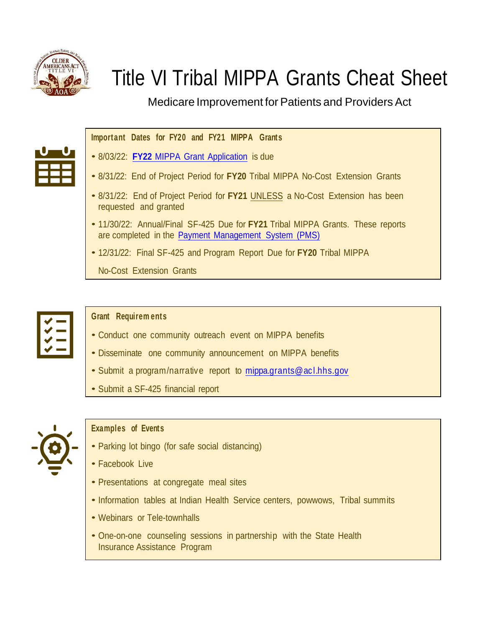

# Title VI Tribal MIPPA Grants Cheat Sheet

Medicare Improvement for Patients and Providers Act

## **Important Dates for FY20 and FY21 MIPPA Grants**

- 8/03/22: **FY22** [MIPPA Grant Application](https://acl.gov/grants/mippa-medicare-beneficiary-outreach-and-assistance-program-funding-oaa-title-vi-native) is due
- 8/31/22: End of Project Period for **FY20** Tribal MIPPA No-Cost Extension Grants
- 8/31/22: End of Project Period for **FY21** UNLESS a No-Cost Extension has been requested and granted
- 11/30/22: Annual/Final SF-425 Due for **FY21** Tribal MIPPA Grants. These reports are completed in [the Payment Management System \(PM](https://pms.psc.gov/)S)
- 12/31/22: Final SF-425 and Program Report Due for **FY20** Tribal MIPPA

No-Cost Extension Grants

#### **Grant Requirem ents**

- Conduct one community outreach event on MIPPA benefits
- Disseminate one community announcement on MIPPA benefits
- Submit <sup>a</sup> program/narrative report to [mippa.grants@acl.hhs.gov](mailto:mippa.grants@acl.hhs.gov)
- Submit <sup>a</sup> SF-425 financial report



### **Examples of Events**

- Parking lot bingo (for safe social distancing)
- Facebook Live
- Presentations at congregate meal sites
- Information tables at Indian Health Service centers, powwows, Tribal summits
- Webinars or Tele-townhalls
- One-on-one counseling sessions in partnership with the State Health Insurance Assistance Program